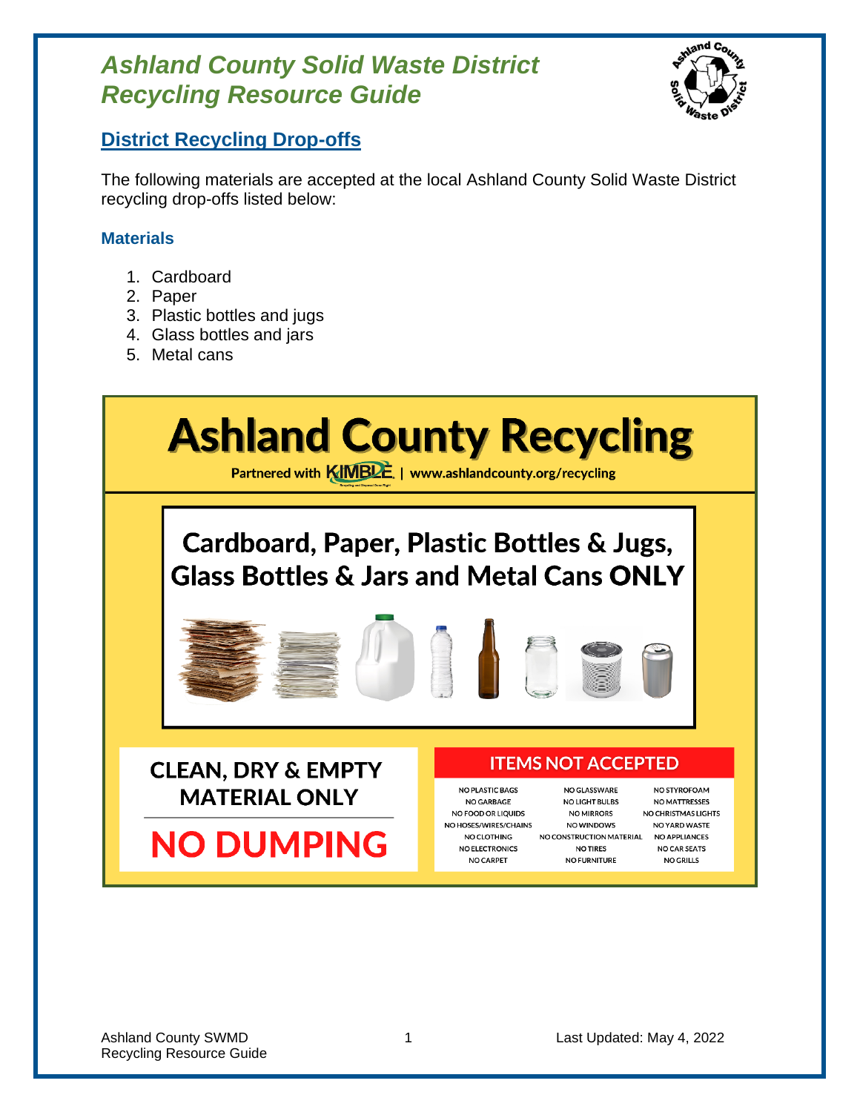

### **District Recycling Drop-offs**

The following materials are accepted at the local Ashland County Solid Waste District recycling drop-offs listed below:

### **Materials**

- 1. Cardboard
- 2. Paper
- 3. Plastic bottles and jugs
- 4. Glass bottles and jars
- 5. Metal cans

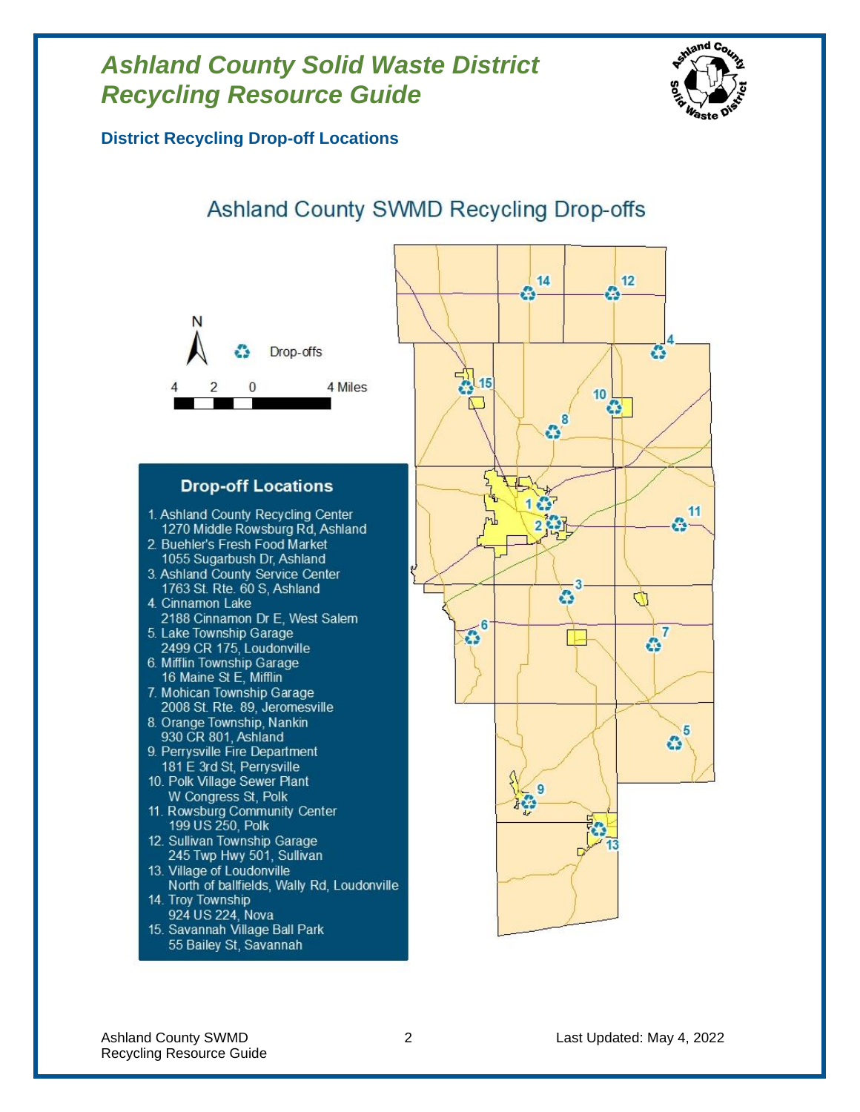

**District Recycling Drop-off Locations**

### Ashland County SWMD Recycling Drop-offs



#### **Drop-off Locations**

- 1. Ashland County Recycling Center 1270 Middle Rowsburg Rd, Ashland
- 2. Buehler's Fresh Food Market 1055 Sugarbush Dr, Ashland
- 3. Ashland County Service Center 1763 St. Rte. 60 S, Ashland
- 4. Cinnamon Lake 2188 Cinnamon Dr E, West Salem 5. Lake Township Garage
- 2499 CR 175, Loudonville 6. Mifflin Township Garage
- 16 Maine St E, Mifflin
- 7. Mohican Township Garage 2008 St. Rte. 89, Jeromesville
- 8. Orange Township, Nankin 930 CR 801, Ashland
- 9. Perrysville Fire Department 181 E 3rd St, Perrysville
- 10. Polk Village Sewer Plant W Congress St, Polk
- 11. Rowsburg Community Center 199 US 250, Polk
- 12. Sullivan Township Garage 245 Twp Hwy 501, Sullivan
- 13. Village of Loudonville North of ballfields, Wally Rd, Loudonville
- 14. Troy Township 924 US 224, Nova
- 15. Savannah Village Ball Park 55 Bailey St, Savannah

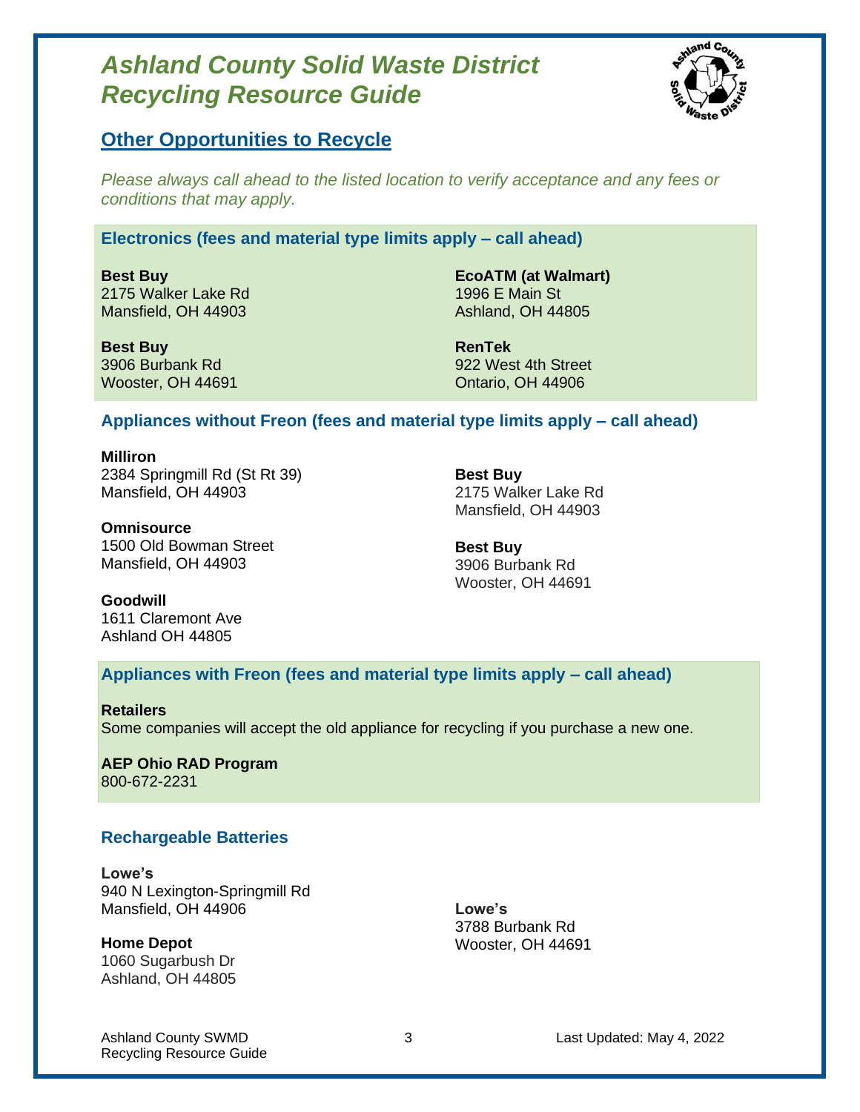

### **Other Opportunities to Recycle**

*Please always call ahead to the listed location to verify acceptance and any fees or conditions that may apply.*

#### **Electronics (fees and material type limits apply – call ahead)**

**Best Buy** 2175 Walker Lake Rd Mansfield, OH 44903

**EcoATM (at Walmart)** 1996 E Main St Ashland, OH 44805

**Best Buy** 3906 Burbank Rd Wooster, OH 44691

**RenTek** 922 West 4th Street Ontario, OH 44906

#### **Appliances without Freon (fees and material type limits apply – call ahead)**

**Milliron** 2384 Springmill Rd (St Rt 39) Mansfield, OH 44903

**Best Buy** 2175 Walker Lake Rd Mansfield, OH 44903

**Omnisource** 1500 Old Bowman Street Mansfield, OH 44903

**Best Buy** 3906 Burbank Rd Wooster, OH 44691

**Goodwill**

1611 Claremont Ave Ashland OH 44805

**Appliances with Freon (fees and material type limits apply – call ahead)**

**Retailers** Some companies will accept the old appliance for recycling if you purchase a new one.

**AEP Ohio RAD Program** 800-672-2231

#### **Rechargeable Batteries**

**Lowe's** 940 N Lexington-Springmill Rd Mansfield, OH 44906

**Home Depot** 1060 Sugarbush Dr Ashland, OH 44805

**Lowe's** 3788 Burbank Rd Wooster, OH 44691

Recycling Resource Guide

Ashland County SWMD 3 Last Updated: May 4, 2022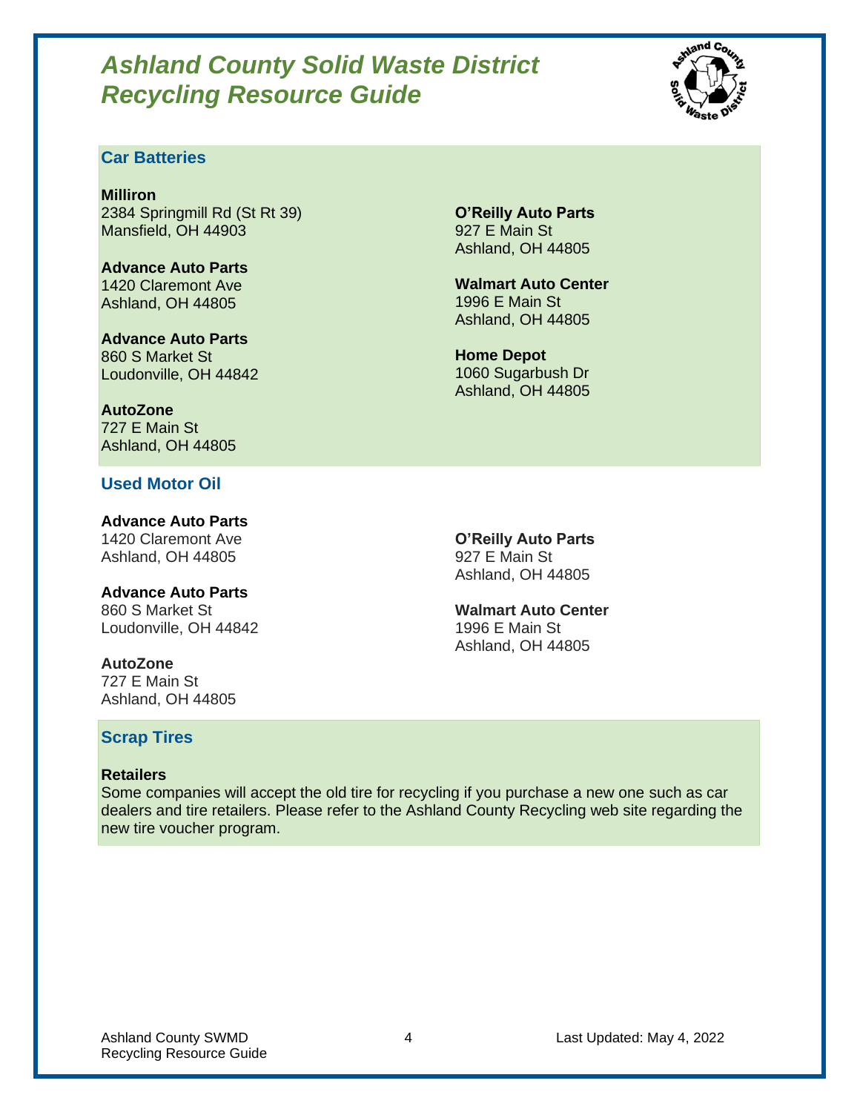

### **Car Batteries**

**Milliron** 2384 Springmill Rd (St Rt 39) Mansfield, OH 44903

**Advance Auto Parts** 1420 Claremont Ave Ashland, OH 44805

**Advance Auto Parts** 860 S Market St Loudonville, OH 44842

**AutoZone** 727 E Main St Ashland, OH 44805

#### **Used Motor Oil**

**Advance Auto Parts** 1420 Claremont Ave Ashland, OH 44805

**Advance Auto Parts** 860 S Market St Loudonville, OH 44842

**AutoZone** 727 E Main St Ashland, OH 44805

**Scrap Tires**

#### **Retailers**

Some companies will accept the old tire for recycling if you purchase a new one such as car dealers and tire retailers. Please refer to the Ashland County Recycling web site regarding the new tire voucher program.

Ashland County SWMD 4 2022 4 Last Updated: May 4, 2022 Recycling Resource Guide

**O'Reilly Auto Parts** 927 E Main St Ashland, OH 44805

**Walmart Auto Center** 1996 E Main St Ashland, OH 44805

**Home Depot** 1060 Sugarbush Dr Ashland, OH 44805

**O'Reilly Auto Parts** 927 E Main St Ashland, OH 44805

**Walmart Auto Center** 1996 E Main St Ashland, OH 44805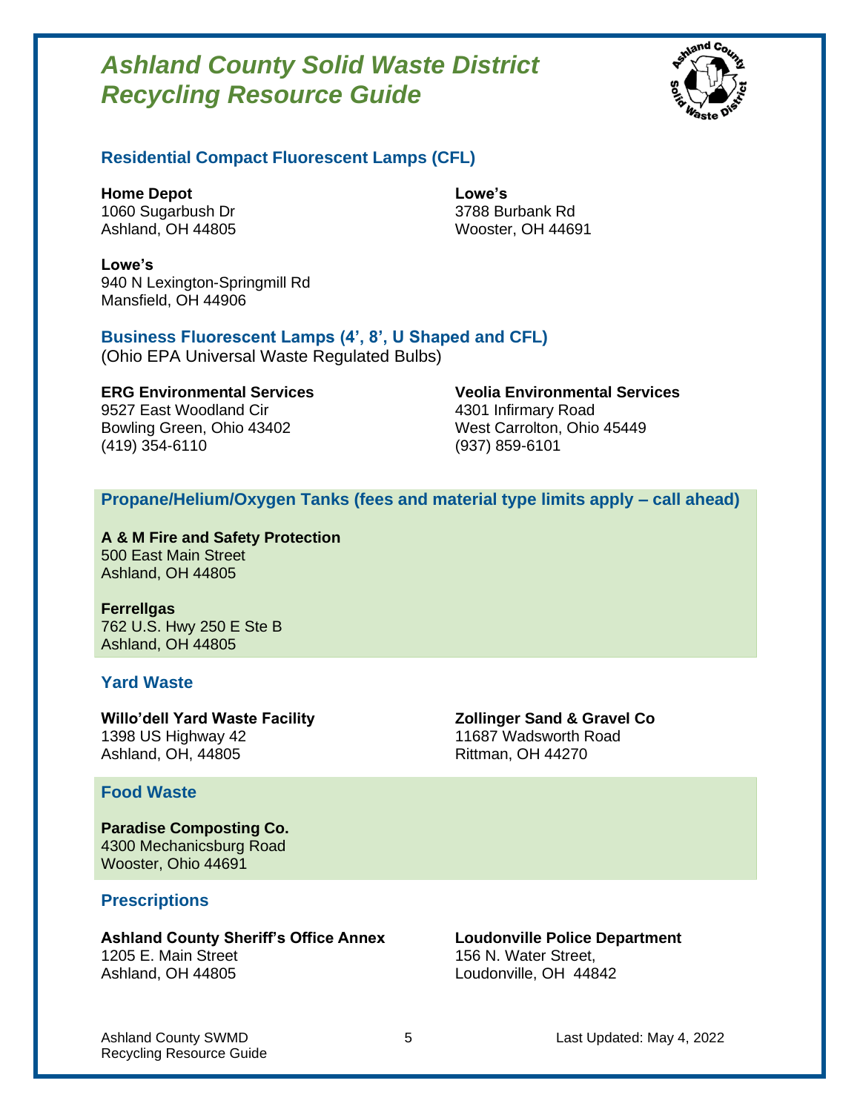

#### **Residential Compact Fluorescent Lamps (CFL)**

**Home Depot** 1060 Sugarbush Dr Ashland, OH 44805 **Lowe's** 3788 Burbank Rd Wooster, OH 44691

**Lowe's** 940 N Lexington-Springmill Rd Mansfield, OH 44906

#### **Business Fluorescent Lamps (4', 8', U Shaped and CFL)**

(Ohio EPA Universal Waste Regulated Bulbs)

9527 East Woodland Cir **4301 Infirmary Road** Bowling Green, Ohio 43402 West Carrolton, Ohio 45449 (419) 354-6110 (937) 859-6101

**ERG Environmental Services Veolia Environmental Services**

#### **Propane/Helium/Oxygen Tanks (fees and material type limits apply – call ahead)**

**A & M Fire and Safety Protection** 500 East Main Street Ashland, OH 44805

**Ferrellgas** 762 U.S. Hwy 250 E Ste B Ashland, OH 44805

#### **Yard Waste**

**Willo'dell Yard Waste Facility** 1398 US Highway 42 Ashland, OH, 44805

#### **Food Waste**

**Paradise Composting Co.** 4300 Mechanicsburg Road Wooster, Ohio 44691

#### **Prescriptions**

**Ashland County Sheriff's Office Annex** 1205 E. Main Street Ashland, OH 44805

**Zollinger Sand & Gravel Co** 11687 Wadsworth Road Rittman, OH 44270

**Loudonville Police Department** 156 N. Water Street, Loudonville, OH 44842

Recycling Resource Guide

Ashland County SWMD 6 2022 **5** Last Updated: May 4, 2022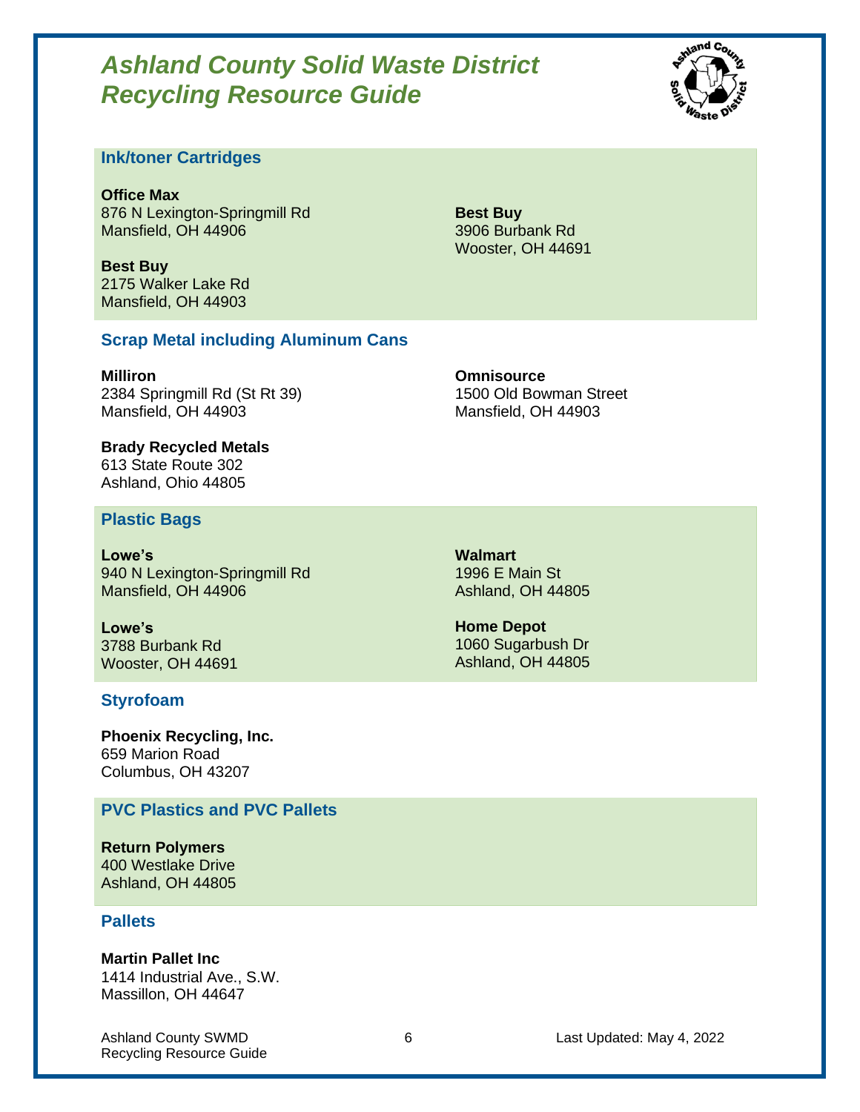

#### **Ink/toner Cartridges**

**Office Max** 876 N Lexington-Springmill Rd Mansfield, OH 44906

**Best Buy** 2175 Walker Lake Rd Mansfield, OH 44903

**Best Buy** 3906 Burbank Rd Wooster, OH 44691

#### **Scrap Metal including Aluminum Cans**

**Milliron** 2384 Springmill Rd (St Rt 39) Mansfield, OH 44903

**Omnisource** 1500 Old Bowman Street Mansfield, OH 44903

**Brady Recycled Metals** 613 State Route 302 Ashland, Ohio 44805

#### **Plastic Bags**

**Lowe's** 940 N Lexington-Springmill Rd Mansfield, OH 44906

**Lowe's** 3788 Burbank Rd Wooster, OH 44691

#### **Styrofoam**

**Phoenix Recycling, Inc.** 659 Marion Road Columbus, OH 43207

#### **PVC Plastics and PVC Pallets**

**Return Polymers** 400 Westlake Drive Ashland, OH 44805

#### **Pallets**

**Martin Pallet Inc**

1414 Industrial Ave., S.W. Massillon, OH 44647

Recycling Resource Guide

**Walmart** 1996 E Main St Ashland, OH 44805

**Home Depot** 1060 Sugarbush Dr Ashland, OH 44805